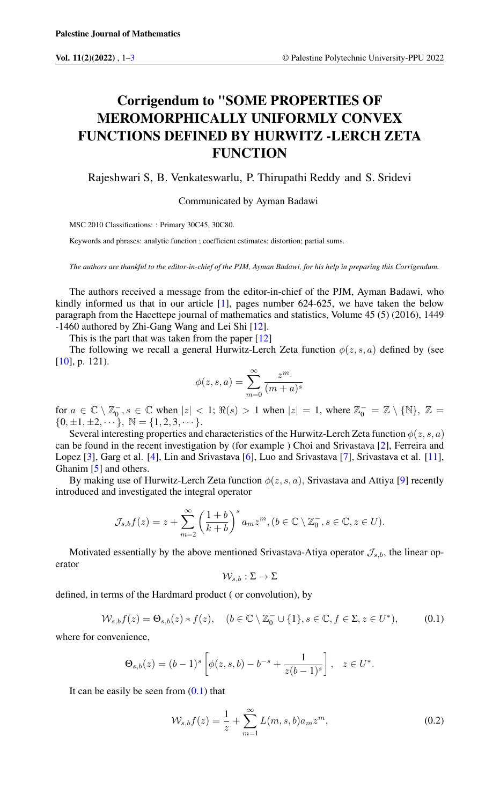## Corrigendum to "SOME PROPERTIES OF MEROMORPHICALLY UNIFORMLY CONVEX FUNCTIONS DEFINED BY HURWITZ -LERCH ZETA **FUNCTION**

Rajeshwari S, B. Venkateswarlu, P. Thirupathi Reddy and S. Sridevi

Communicated by Ayman Badawi

MSC 2010 Classifications: : Primary 30C45, 30C80.

Keywords and phrases: analytic function ; coefficient estimates; distortion; partial sums.

*The authors are thankful to the editor-in-chief of the PJM, Ayman Badawi, for his help in preparing this Corrigendum.*

The authors received a message from the editor-in-chief of the PJM, Ayman Badawi, who kindly informed us that in our article  $[1]$ , pages number 624-625, we have taken the below paragraph from the Hacettepe journal of mathematics and statistics, Volume 45 (5) (2016), 1449 -1460 authored by Zhi-Gang Wang and Lei Shi [\[12\]](#page-1-2).

This is the part that was taken from the paper  $[12]$ 

The following we recall a general Hurwitz-Lerch Zeta function  $\phi(z, s, a)$  defined by (see [\[10\]](#page-1-3), p. 121).

$$
\phi(z,s,a)=\sum_{m=0}^\infty\frac{z^m}{(m+a)^s}
$$

for  $a \in \mathbb{C} \setminus \mathbb{Z}_0^-, s \in \mathbb{C}$  when  $|z| < 1$ ;  $\Re(s) > 1$  when  $|z| = 1$ , where  $\mathbb{Z}_0^- = \mathbb{Z} \setminus \{\mathbb{N}\}, \mathbb{Z} =$  $\{0, \pm 1, \pm 2, \cdots\}, \ \mathbb{N} = \{1, 2, 3, \cdots\}.$ 

Several interesting properties and characteristics of the Hurwitz-Lerch Zeta function  $\phi(z, s, a)$ can be found in the recent investigation by (for example ) Choi and Srivastava [\[2\]](#page-1-4), Ferreira and Lopez [\[3\]](#page-1-5), Garg et al. [\[4\]](#page-1-6), Lin and Srivastava [\[6\]](#page-1-7), Luo and Srivastava [\[7\]](#page-1-8), Srivastava et al. [\[11\]](#page-1-9), Ghanim [\[5\]](#page-1-10) and others.

By making use of Hurwitz-Lerch Zeta function  $\phi(z, s, a)$ , Srivastava and Attiya [\[9\]](#page-1-11) recently introduced and investigated the integral operator

$$
\mathcal{J}_{s,b}f(z) = z + \sum_{m=2}^{\infty} \left(\frac{1+b}{k+b}\right)^s a_m z^m, (b \in \mathbb{C} \setminus \mathbb{Z}_0^-, s \in \mathbb{C}, z \in U).
$$

Motivated essentially by the above mentioned Srivastava-Atiya operator  $\mathcal{J}_{s,b}$ , the linear operator

$$
\mathcal{W}_{s,b}:\Sigma\to\Sigma
$$

<span id="page-0-0"></span>defined, in terms of the Hardmard product ( or convolution), by

$$
\mathcal{W}_{s,b}f(z) = \Theta_{s,b}(z) * f(z), \quad (b \in \mathbb{C} \setminus \mathbb{Z}_0^- \cup \{1\}, s \in \mathbb{C}, f \in \Sigma, z \in U^*), \tag{0.1}
$$

where for convenience,

$$
\Theta_{s,b}(z) = (b-1)^s \left[ \phi(z,s,b) - b^{-s} + \frac{1}{z(b-1)^s} \right], \quad z \in U^*.
$$

It can be easily be seen from  $(0.1)$  that

<span id="page-0-1"></span>
$$
W_{s,b}f(z) = \frac{1}{z} + \sum_{m=1}^{\infty} L(m, s, b)a_m z^m,
$$
\n(0.2)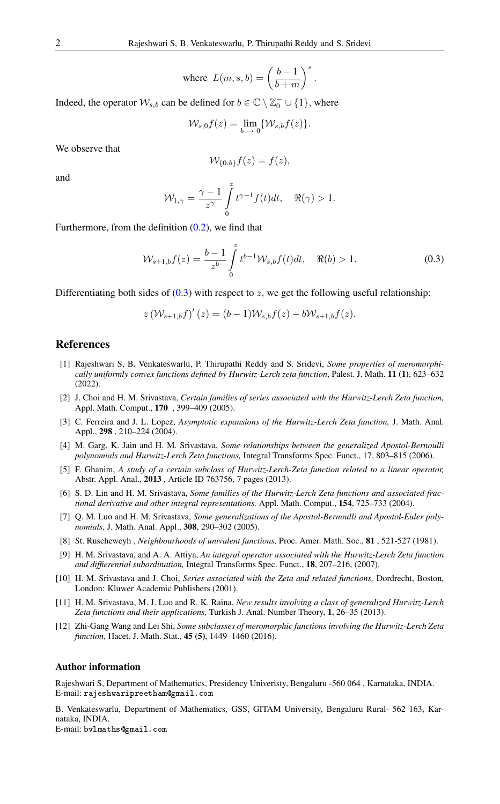where 
$$
L(m, s, b) = \left(\frac{b-1}{b+m}\right)^s
$$
.

Indeed, the operator  $W_{s,b}$  can be defined for  $b \in \mathbb{C} \setminus \mathbb{Z}_0^- \cup \{1\}$ , where

$$
\mathcal{W}_{s,0}f(z) = \lim_{b \to 0} \{ \mathcal{W}_{s,b}f(z) \}.
$$

We observe that

<span id="page-1-12"></span>
$$
\mathcal{W}_{\{0,b\}}f(z) = f(z),
$$

and

$$
\mathcal{W}_{1,\gamma} = \frac{\gamma - 1}{z^{\gamma}} \int\limits_{0}^{z} t^{\gamma - 1} f(t) dt, \quad \Re(\gamma) > 1.
$$

Furthermore, from the definition  $(0.2)$ , we find that

$$
\mathcal{W}_{s+1,b}f(z) = \frac{b-1}{z^b} \int_0^z t^{b-1} \mathcal{W}_{s,b}f(t)dt, \quad \Re(b) > 1.
$$
 (0.3)

Differentiating both sides of  $(0.3)$  with respect to z, we get the following useful relationship:

$$
z(\mathcal{W}_{s+1,b}f)'(z) = (b-1)\mathcal{W}_{s,b}f(z) - b\mathcal{W}_{s+1,b}f(z).
$$

## <span id="page-1-0"></span>References

- <span id="page-1-1"></span>[1] Rajeshwari S, B. Venkateswarlu, P. Thirupathi Reddy and S. Sridevi, *Some properties of meromorphically uniformly convex functions defined by Hurwitz-Lerch zeta function*, Palest. J. Math. 11 (1), 623–632 (2022).
- <span id="page-1-4"></span>[2] J. Choi and H. M. Srivastava, *Certain families of series associated with the Hurwitz-Lerch Zeta function,* Appl. Math. Comput., 170 , 399–409 (2005).
- <span id="page-1-5"></span>[3] C. Ferreira and J. L. Lopez, *Asymptotic expansions of the Hurwitz-Lerch Zeta function,* J. Math. Anal. Appl., 298 , 210–224 (2004).
- <span id="page-1-6"></span>[4] M. Garg, K. Jain and H. M. Srivastava, *Some relationships between the generalized Apostol-Bernoulli polynomials and Hurwitz-Lerch Zeta functions,* Integral Transforms Spec. Funct., 17, 803–815 (2006).
- <span id="page-1-10"></span>[5] F. Ghanim, *A study of a certain subclass of Hurwitz-Lerch-Zeta function related to a linear operator,* Abstr. Appl. Anal., 2013 , Article ID 763756, 7 pages (2013).
- <span id="page-1-7"></span>[6] S. D. Lin and H. M. Srivastava, *Some families of the Hurwitz-Lerch Zeta functions and associated fractional derivative and other integral representations,* Appl. Math. Comput., 154, 725–733 (2004).
- <span id="page-1-8"></span>[7] Q. M. Luo and H. M. Srivastava, *Some generalizations of the Apostol-Bernoulli and Apostol-Euler polynomials,* J. Math. Anal. Appl., 308, 290–302 (2005).
- [8] St. Ruscheweyh , *Neighbourhoods of univalent functions,* Proc. Amer. Math. Soc., 81 , 521-527 (1981).
- <span id="page-1-11"></span>[9] H. M. Srivastava, and A. A. Attiya, *An integral operator associated with the Hurwitz-Lerch Zeta function and diffierential subordination,* Integral Transforms Spec. Funct., 18, 207–216, (2007).
- <span id="page-1-3"></span>[10] H. M. Srivastava and J. Choi, *Series associated with the Zeta and related functions,* Dordrecht, Boston, London: Kluwer Academic Publishers (2001).
- <span id="page-1-9"></span>[11] H. M. Srivastava, M. J. Luo and R. K. Raina, *New results involving a class of generalized Hurwitz-Lerch Zeta functions and their applications,* Turkish J. Anal. Number Theory, 1, 26–35 (2013).
- <span id="page-1-2"></span>[12] Zhi-Gang Wang and Lei Shi, *Some subclasses of meromorphic functions involving the Hurwitz-Lerch Zeta function,* Hacet. J. Math. Stat., 45 (5), 1449–1460 (2016).

## Author information

Rajeshwari S, Department of Mathematics, Presidency Univeristy, Bengaluru -560 064 , Karnataka, INDIA. E-mail: rajeshwaripreetham@gmail.com

B. Venkateswarlu, Department of Mathematics, GSS, GITAM University, Bengaluru Rural- 562 163, Karnataka, INDIA.

E-mail: bvlmaths@gmail.com